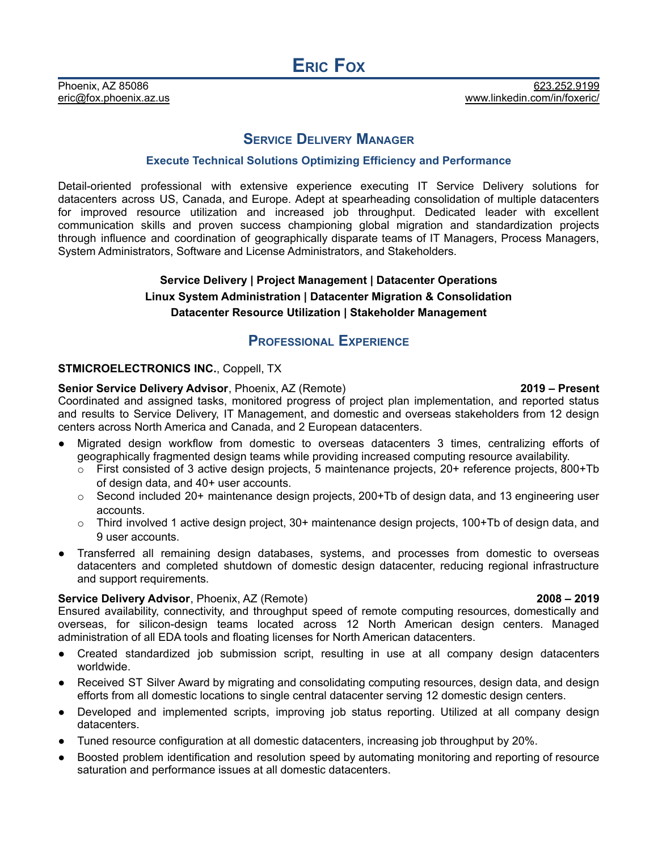## **SERVICE DELIVERY MANAGER**

### **Execute Technical Solutions Optimizing Efficiency and Performance**

Detail-oriented professional with extensive experience executing IT Service Delivery solutions for datacenters across US, Canada, and Europe. Adept at spearheading consolidation of multiple datacenters for improved resource utilization and increased job throughput. Dedicated leader with excellent communication skills and proven success championing global migration and standardization projects through influence and coordination of geographically disparate teams of IT Managers, Process Managers, System Administrators, Software and License Administrators, and Stakeholders.

# **Service Delivery | Project Management | Datacenter Operations Linux System Administration | Datacenter Migration & Consolidation Datacenter Resource Utilization | Stakeholder Management**

# **PROFESSIONAL EXPERIENCE**

### **STMICROELECTRONICS INC.**, Coppell, TX

### **Senior Service Delivery Advisor**, Phoenix, AZ (Remote) **2019 – Present**

Coordinated and assigned tasks, monitored progress of project plan implementation, and reported status and results to Service Delivery, IT Management, and domestic and overseas stakeholders from 12 design centers across North America and Canada, and 2 European datacenters.

- Migrated design workflow from domestic to overseas datacenters 3 times, centralizing efforts of geographically fragmented design teams while providing increased computing resource availability.
	- $\circ$  First consisted of 3 active design projects, 5 maintenance projects, 20+ reference projects, 800+Tb of design data, and 40+ user accounts.
	- $\circ$  Second included 20+ maintenance design projects, 200+Tb of design data, and 13 engineering user accounts.
	- $\circ$  Third involved 1 active design project, 30+ maintenance design projects, 100+Tb of design data, and 9 user accounts.
- Transferred all remaining design databases, systems, and processes from domestic to overseas datacenters and completed shutdown of domestic design datacenter, reducing regional infrastructure and support requirements.

### **Service Delivery Advisor**, Phoenix, AZ (Remote) **2008 – 2019**

### Ensured availability, connectivity, and throughput speed of remote computing resources, domestically and overseas, for silicon-design teams located across 12 North American design centers. Managed administration of all EDA tools and floating licenses for North American datacenters.

- Created standardized job submission script, resulting in use at all company design datacenters worldwide.
- Received ST Silver Award by migrating and consolidating computing resources, design data, and design efforts from all domestic locations to single central datacenter serving 12 domestic design centers.
- Developed and implemented scripts, improving job status reporting. Utilized at all company design datacenters.
- Tuned resource configuration at all domestic datacenters, increasing job throughput by 20%.
- Boosted problem identification and resolution speed by automating monitoring and reporting of resource saturation and performance issues at all domestic datacenters.